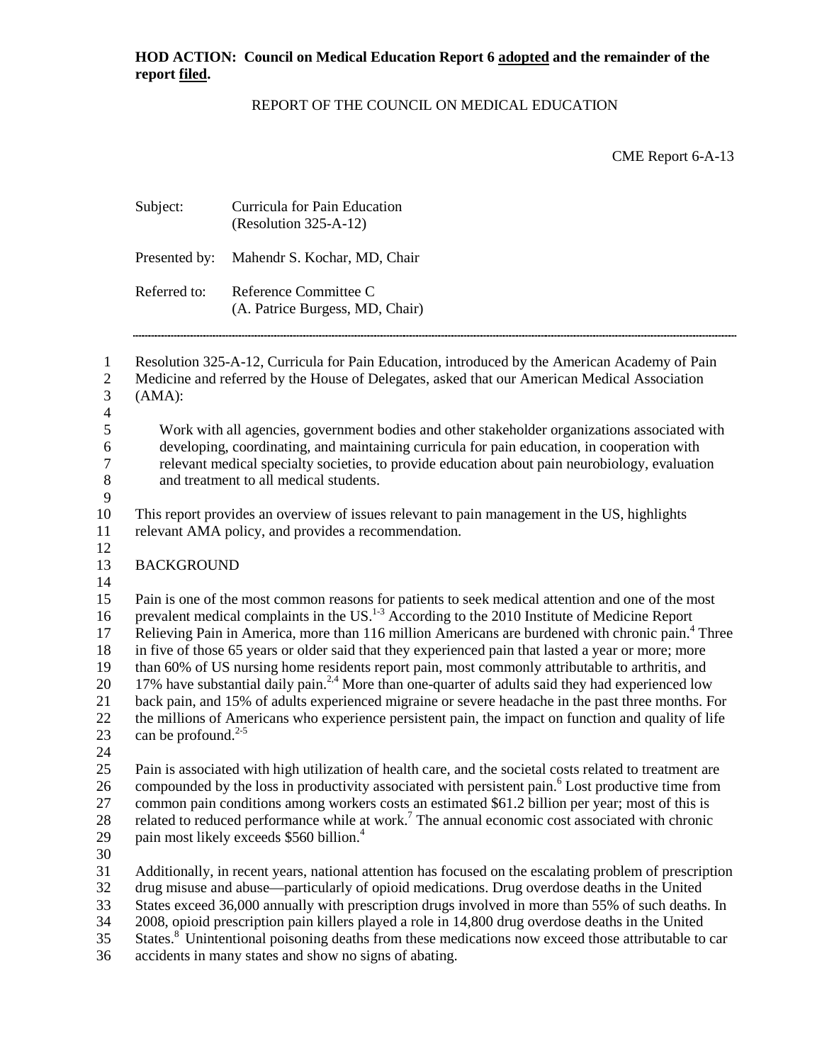## REPORT OF THE COUNCIL ON MEDICAL EDUCATION

CME Report 6-A-13

| Subject:                        | Curricula for Pain Education<br>(Resolution 325-A-12)                                                                                                                                                                                                                                                                                                                                                                                                                                                                                                                                                                                                                                                                                                                                                                                                                    |
|---------------------------------|--------------------------------------------------------------------------------------------------------------------------------------------------------------------------------------------------------------------------------------------------------------------------------------------------------------------------------------------------------------------------------------------------------------------------------------------------------------------------------------------------------------------------------------------------------------------------------------------------------------------------------------------------------------------------------------------------------------------------------------------------------------------------------------------------------------------------------------------------------------------------|
| Presented by:                   | Mahendr S. Kochar, MD, Chair                                                                                                                                                                                                                                                                                                                                                                                                                                                                                                                                                                                                                                                                                                                                                                                                                                             |
| Referred to:                    | Reference Committee C<br>(A. Patrice Burgess, MD, Chair)                                                                                                                                                                                                                                                                                                                                                                                                                                                                                                                                                                                                                                                                                                                                                                                                                 |
| (AMA):                          | Resolution 325-A-12, Curricula for Pain Education, introduced by the American Academy of Pain<br>Medicine and referred by the House of Delegates, asked that our American Medical Association                                                                                                                                                                                                                                                                                                                                                                                                                                                                                                                                                                                                                                                                            |
|                                 | Work with all agencies, government bodies and other stakeholder organizations associated with<br>developing, coordinating, and maintaining curricula for pain education, in cooperation with<br>relevant medical specialty societies, to provide education about pain neurobiology, evaluation<br>and treatment to all medical students.                                                                                                                                                                                                                                                                                                                                                                                                                                                                                                                                 |
|                                 | This report provides an overview of issues relevant to pain management in the US, highlights<br>relevant AMA policy, and provides a recommendation.                                                                                                                                                                                                                                                                                                                                                                                                                                                                                                                                                                                                                                                                                                                      |
| <b>BACKGROUND</b>               |                                                                                                                                                                                                                                                                                                                                                                                                                                                                                                                                                                                                                                                                                                                                                                                                                                                                          |
| can be profound. <sup>2-5</sup> | Pain is one of the most common reasons for patients to seek medical attention and one of the most<br>prevalent medical complaints in the US. <sup>1-3</sup> According to the 2010 Institute of Medicine Report<br>Relieving Pain in America, more than 116 million Americans are burdened with chronic pain. <sup>4</sup> Three<br>in five of those 65 years or older said that they experienced pain that lasted a year or more; more<br>than 60% of US nursing home residents report pain, most commonly attributable to arthritis, and<br>17% have substantial daily pain. <sup>2,4</sup> More than one-quarter of adults said they had experienced low<br>back pain, and 15% of adults experienced migraine or severe headache in the past three months. For<br>the millions of Americans who experience persistent pain, the impact on function and quality of life |
|                                 | Pain is associated with high utilization of health care, and the societal costs related to treatment are<br>compounded by the loss in productivity associated with persistent pain. <sup>6</sup> Lost productive time from<br>common pain conditions among workers costs an estimated \$61.2 billion per year; most of this is<br>related to reduced performance while at work. <sup>7</sup> The annual economic cost associated with chronic<br>pain most likely exceeds \$560 billion. <sup>4</sup>                                                                                                                                                                                                                                                                                                                                                                    |
|                                 | Additionally, in recent years, national attention has focused on the escalating problem of prescription<br>drug misuse and abuse—particularly of opioid medications. Drug overdose deaths in the United<br>States exceed 36,000 annually with prescription drugs involved in more than 55% of such deaths. In<br>2008, opioid prescription pain killers played a role in 14,800 drug overdose deaths in the United<br>States. <sup>8</sup> Unintentional poisoning deaths from these medications now exceed those attributable to car                                                                                                                                                                                                                                                                                                                                    |

36 accidents in many states and show no signs of abating.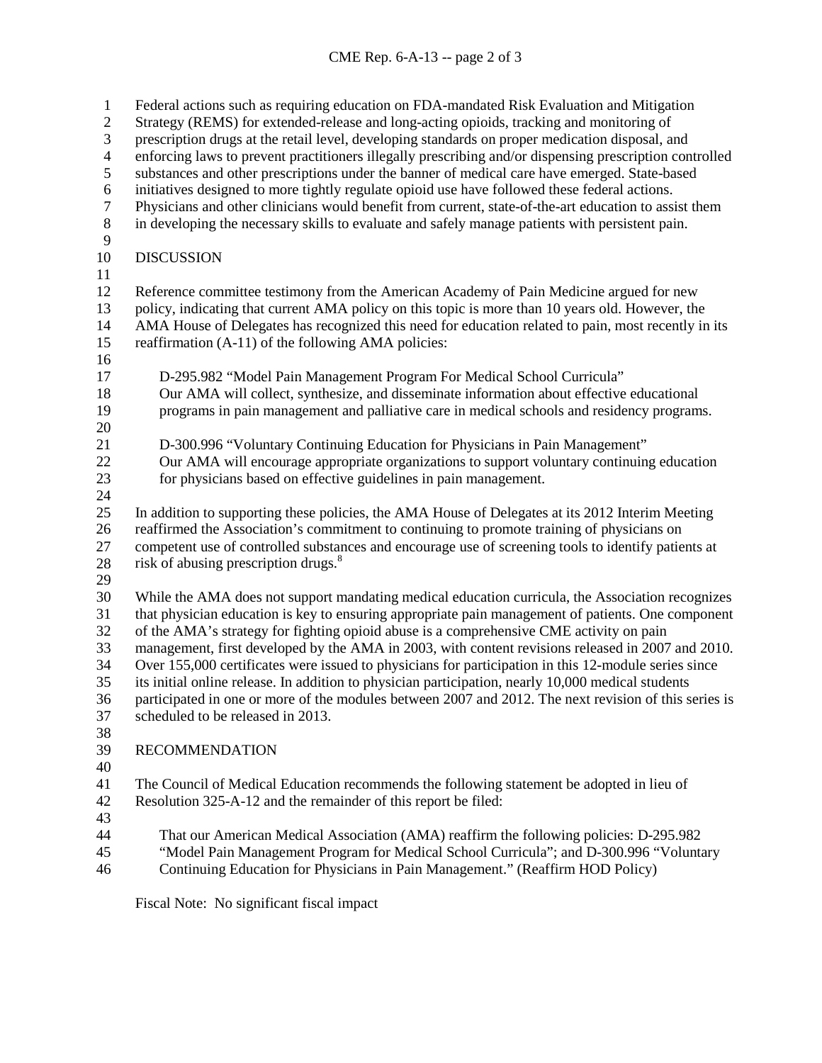## CME Rep. 6-A-13 -- page 2 of 3

 Federal actions such as requiring education on FDA-mandated Risk Evaluation and Mitigation Strategy (REMS) for extended-release and long-acting opioids, tracking and monitoring of prescription drugs at the retail level, developing standards on proper medication disposal, and 4 enforcing laws to prevent practitioners illegally prescribing and/or dispensing prescription controlled<br>5 substances and other prescriptions under the banner of medical care have emerged. State-based substances and other prescriptions under the banner of medical care have emerged. State-based initiatives designed to more tightly regulate opioid use have followed these federal actions. 7 Physicians and other clinicians would benefit from current, state-of-the-art education to assist them<br>in developing the necessary skills to evaluate and safely manage patients with persistent pain. in developing the necessary skills to evaluate and safely manage patients with persistent pain. DISCUSSION Reference committee testimony from the American Academy of Pain Medicine argued for new 13 policy, indicating that current AMA policy on this topic is more than 10 years old. However, the<br>14 AMA House of Delegates has recognized this need for education related to pain, most recently in AMA House of Delegates has recognized this need for education related to pain, most recently in its reaffirmation (A-11) of the following AMA policies: D-295.982 "Model Pain Management Program For Medical School Curricula" Our AMA will collect, synthesize, and disseminate information about effective educational programs in pain management and palliative care in medical schools and residency programs.  $\frac{20}{21}$ D-300.996 "Voluntary Continuing Education for Physicians in Pain Management" Our AMA will encourage appropriate organizations to support voluntary continuing education for physicians based on effective guidelines in pain management. In addition to supporting these policies, the AMA House of Delegates at its 2012 Interim Meeting reaffirmed the Association's commitment to continuing to promote training of physicians on competent use of controlled substances and encourage use of screening tools to identify patients at 28 risk of abusing prescription drugs. $\delta$  While the AMA does not support mandating medical education curricula, the Association recognizes that physician education is key to ensuring appropriate pain management of patients. One component of the AMA's strategy for fighting opioid abuse is a comprehensive CME activity on pain management, first developed by the AMA in 2003, with content revisions released in 2007 and 2010. Over 155,000 certificates were issued to physicians for participation in this 12-module series since its initial online release. In addition to physician participation, nearly 10,000 medical students participated in one or more of the modules between 2007 and 2012. The next revision of this series is scheduled to be released in 2013. RECOMMENDATION The Council of Medical Education recommends the following statement be adopted in lieu of Resolution 325-A-12 and the remainder of this report be filed: That our American Medical Association (AMA) reaffirm the following policies: D-295.982 "Model Pain Management Program for Medical School Curricula"; and D-300.996 "Voluntary Continuing Education for Physicians in Pain Management." (Reaffirm HOD Policy)

Fiscal Note: No significant fiscal impact